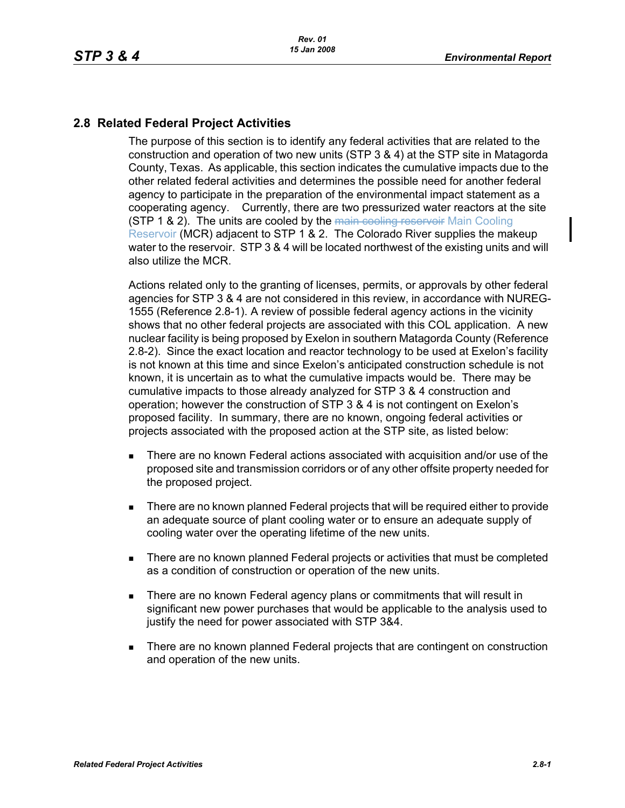## **2.8 Related Federal Project Activities**

The purpose of this section is to identify any federal activities that are related to the construction and operation of two new units (STP 3 & 4) at the STP site in Matagorda County, Texas. As applicable, this section indicates the cumulative impacts due to the other related federal activities and determines the possible need for another federal agency to participate in the preparation of the environmental impact statement as a cooperating agency. Currently, there are two pressurized water reactors at the site **(STP 1 & 2). The units are cooled by the main cooling reservoir Main Cooling** Reservoir (MCR) adjacent to STP 1 & 2. The Colorado River supplies the makeup water to the reservoir. STP 3 & 4 will be located northwest of the existing units and will also utilize the MCR.

Actions related only to the granting of licenses, permits, or approvals by other federal agencies for STP 3 & 4 are not considered in this review, in accordance with NUREG-1555 (Reference 2.8-1). A review of possible federal agency actions in the vicinity shows that no other federal projects are associated with this COL application. A new nuclear facility is being proposed by Exelon in southern Matagorda County (Reference 2.8-2). Since the exact location and reactor technology to be used at Exelon's facility is not known at this time and since Exelon's anticipated construction schedule is not known, it is uncertain as to what the cumulative impacts would be. There may be cumulative impacts to those already analyzed for STP 3 & 4 construction and operation; however the construction of STP 3 & 4 is not contingent on Exelon's proposed facility. In summary, there are no known, ongoing federal activities or projects associated with the proposed action at the STP site, as listed below:

- There are no known Federal actions associated with acquisition and/or use of the proposed site and transmission corridors or of any other offsite property needed for the proposed project.
- There are no known planned Federal projects that will be required either to provide an adequate source of plant cooling water or to ensure an adequate supply of cooling water over the operating lifetime of the new units.
- There are no known planned Federal projects or activities that must be completed as a condition of construction or operation of the new units.
- **There are no known Federal agency plans or commitments that will result in** significant new power purchases that would be applicable to the analysis used to justify the need for power associated with STP 3&4.
- **There are no known planned Federal projects that are contingent on construction** and operation of the new units.